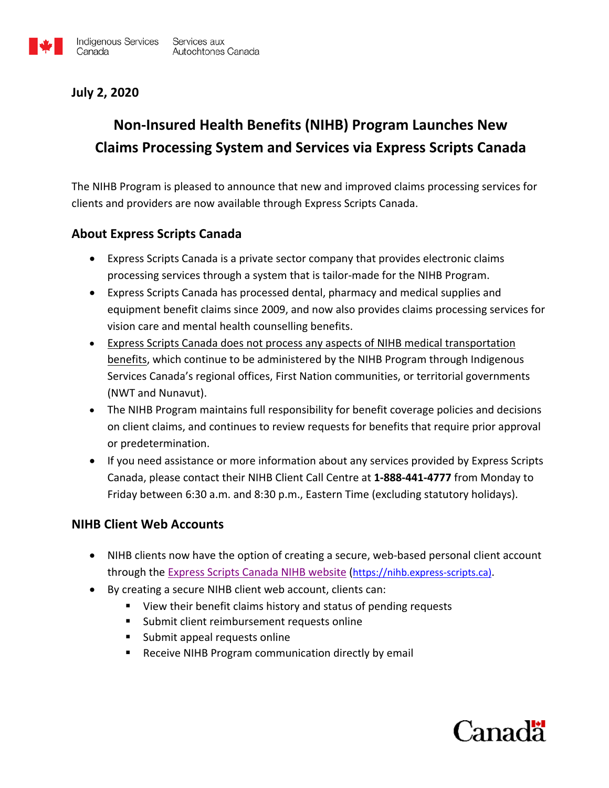

## **July 2, 2020**

# **Non-Insured Health Benefits (NIHB) Program Launches New Claims Processing System and Services via Express Scripts Canada**

The NIHB Program is pleased to announce that new and improved claims processing services for clients and providers are now available through Express Scripts Canada.

### **About Express Scripts Canada**

- Express Scripts Canada is a private sector company that provides electronic claims processing services through a system that is tailor-made for the NIHB Program.
- Express Scripts Canada has processed dental, pharmacy and medical supplies and equipment benefit claims since 2009, and now also provides claims processing services for vision care and mental health counselling benefits.
- Express Scripts Canada does not process any aspects of NIHB medical transportation benefits, which continue to be administered by the NIHB Program through Indigenous Services Canada's regional offices, First Nation communities, or territorial governments (NWT and Nunavut).
- The NIHB Program maintains full responsibility for benefit coverage policies and decisions on client claims, and continues to review requests for benefits that require prior approval or predetermination.
- If you need assistance or more information about any services provided by Express Scripts Canada, please contact their NIHB Client Call Centre at **1-888-441-4777** from Monday to Friday between 6:30 a.m. and 8:30 p.m., Eastern Time (excluding statutory holidays).

### **NIHB Client Web Accounts**

- NIHB clients now have the option of creating a secure, web-based personal client account through the [Express Scripts Canada NIHB website](https://nihb.express-scripts.ca/NIHBProvider/home/en) [\(https://nihb.express-scripts.ca\)](https://nihb.express-scripts.ca/).
- By creating a secure NIHB client web account, clients can:
	- View their benefit claims history and status of pending requests
	- Submit client reimbursement requests online
	- **Submit appeal requests online**
	- **E** Receive NIHB Program communication directly by email

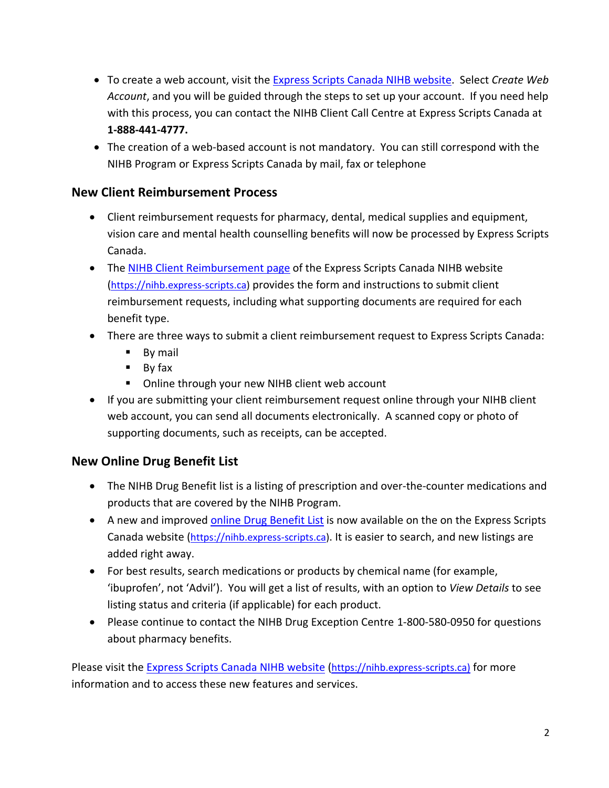- To create a web account, visit the [Express Scripts](https://nihb.express-scripts.ca/NIHBProvider/benefits/client) Canada NIHB website. Select *Create Web Account*, and you will be guided through the steps to set up your account. If you need help with this process, you can contact the NIHB Client Call Centre at Express Scripts Canada at **1-888-441-4777.**
- The creation of a web-based account is not mandatory. You can still correspond with the NIHB Program or Express Scripts Canada by mail, fax or telephone

#### **New Client Reimbursement Process**

- Client reimbursement requests for pharmacy, dental, medical supplies and equipment, vision care and mental health counselling benefits will now be processed by Express Scripts Canada.
- The [NIHB Client Reimbursement page](https://nihb.express-scripts.ca/NIHBProvider/benefits/client?page=client-forms&benefit=client) of the Express Scripts Canada NIHB website [\(https://nihb.express-scripts.ca\)](https://nihb.express-scripts.ca/) provides the form and instructions to submit client reimbursement requests, including what supporting documents are required for each benefit type.
- There are three ways to submit a client reimbursement request to Express Scripts Canada:
	- **By mail**
	- By fax
	- Online through your new NIHB client web account
- If you are submitting your client reimbursement request online through your NIHB client web account, you can send all documents electronically. A scanned copy or photo of supporting documents, such as receipts, can be accepted.

## **New Online Drug Benefit List**

- The NIHB Drug Benefit list is a listing of prescription and over-the-counter medications and products that are covered by the NIHB Program.
- A new and improved online [Drug Benefit List](https://nihb.express-scripts.ca/NIHBProvider/benefits/pharmacy?page=drugbenefit-grid&benefit=pharmacy) is now available on the on the Express Scripts Canada website [\(https://nihb.express-scripts.ca\)](https://nihb.express-scripts.ca/). It is easier to search, and new listings are added right away.
- For best results, search medications or products by chemical name (for example, 'ibuprofen', not 'Advil'). You will get a list of results, with an option to *View Details* to see listing status and criteria (if applicable) for each product.
- Please continue to contact the NIHB Drug Exception Centre 1-800-580-0950 for questions about pharmacy benefits.

Please visit the **Express Scripts Canada NIHB website [\(https://nihb.express-scripts.ca\)](https://nihb.express-scripts.ca/)** for more information and to access these new features and services.